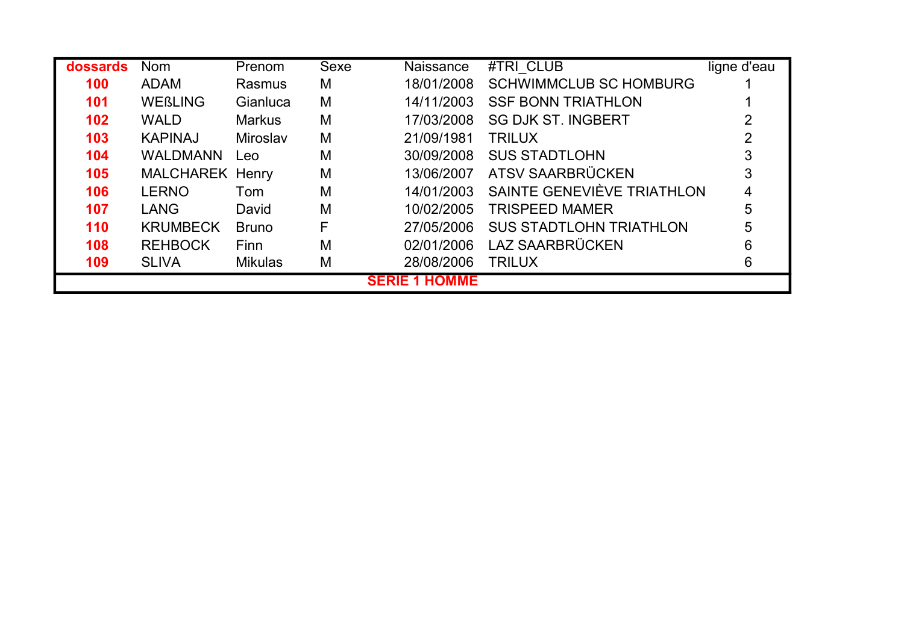| dossards         | <b>Nom</b>             | Prenom         | Sexe | Naissance            | #TRI CLUB                      | ligne d'eau |
|------------------|------------------------|----------------|------|----------------------|--------------------------------|-------------|
| 100              | <b>ADAM</b>            | Rasmus         | M    | 18/01/2008           | <b>SCHWIMMCLUB SC HOMBURG</b>  |             |
| 101              | <b>WEBLING</b>         | Gianluca       | M    | 14/11/2003           | <b>SSF BONN TRIATHLON</b>      |             |
| 102 <sub>1</sub> | <b>WALD</b>            | <b>Markus</b>  | M    | 17/03/2008           | <b>SG DJK ST. INGBERT</b>      |             |
| 103              | <b>KAPINAJ</b>         | Miroslav       | M    | 21/09/1981           | <b>TRILUX</b>                  |             |
| 104              | <b>WALDMANN</b>        | Leo            | M    | 30/09/2008           | <b>SUS STADTLOHN</b>           |             |
| 105              | <b>MALCHAREK Henry</b> |                | M    | 13/06/2007           | ATSV SAARBRÜCKEN               | 3           |
| 106              | <b>LERNO</b>           | Tom            | M    | 14/01/2003           | SAINTE GENEVIÈVE TRIATHLON     | 4           |
| 107              | <b>LANG</b>            | David          | M    | 10/02/2005           | <b>TRISPEED MAMER</b>          | 5           |
| 110              | <b>KRUMBECK</b>        | <b>Bruno</b>   | F    | 27/05/2006           | <b>SUS STADTLOHN TRIATHLON</b> | 5           |
| 108              | <b>REHBOCK</b>         | <b>Finn</b>    | M    | 02/01/2006           | LAZ SAARBRÜCKEN                | 6           |
| 109              | <b>SLIVA</b>           | <b>Mikulas</b> | M    | 28/08/2006           | <b>TRILUX</b>                  | 6           |
|                  |                        |                |      | <b>SERIE 1 HOMME</b> |                                |             |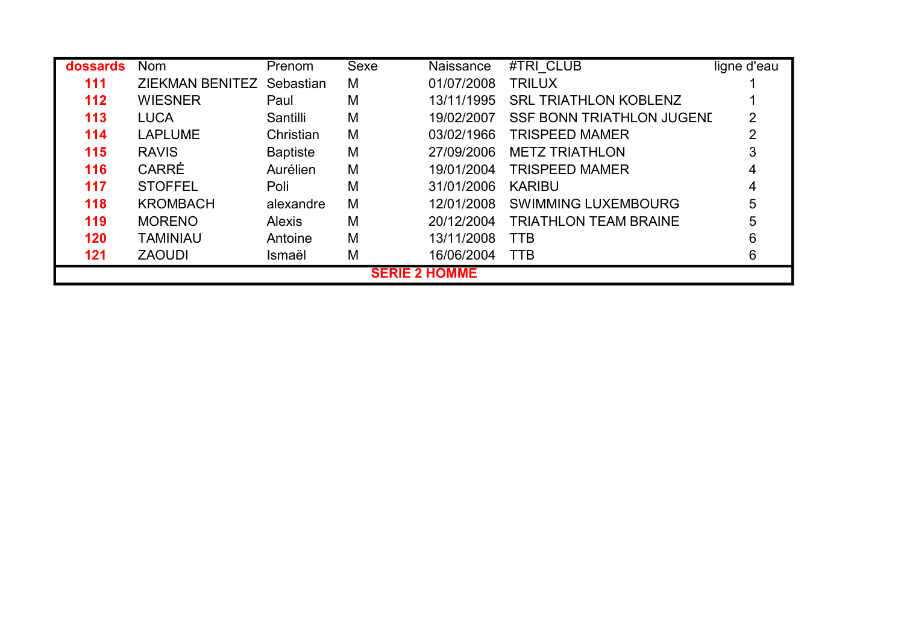| dossards | <b>Nom</b>                | Prenom          | <b>Sexe</b> | Naissance            | #TRI CLUB                        | ligne d'eau |
|----------|---------------------------|-----------------|-------------|----------------------|----------------------------------|-------------|
| 111      | ZIEKMAN BENITEZ Sebastian |                 | M           | 01/07/2008           | <b>TRILUX</b>                    |             |
| 112      | <b>WIESNER</b>            | Paul            | M           | 13/11/1995           | <b>SRL TRIATHLON KOBLENZ</b>     |             |
| 113      | <b>LUCA</b>               | Santilli        | M           | 19/02/2007           | <b>SSF BONN TRIATHLON JUGENE</b> |             |
| 114      | <b>LAPLUME</b>            | Christian       | M           | 03/02/1966           | <b>TRISPEED MAMER</b>            | າ           |
| 115      | <b>RAVIS</b>              | <b>Baptiste</b> | M           | 27/09/2006           | <b>METZ TRIATHLON</b>            |             |
| 116      | <b>CARRÉ</b>              | Aurélien        | M           | 19/01/2004           | <b>TRISPEED MAMER</b>            |             |
| 117      | <b>STOFFEL</b>            | Poli            | M           | 31/01/2006           | <b>KARIBU</b>                    |             |
| 118      | <b>KROMBACH</b>           | alexandre       | M           | 12/01/2008           | <b>SWIMMING LUXEMBOURG</b>       | 5           |
| 119      | <b>MORENO</b>             | <b>Alexis</b>   | M           | 20/12/2004           | <b>TRIATHLON TEAM BRAINE</b>     | 5           |
| 120      | <b>TAMINIAU</b>           | Antoine         | M           | 13/11/2008           | <b>TTB</b>                       | 6           |
| 121      | <b>ZAOUDI</b>             | Ismaël          | M           | 16/06/2004           | <b>TTB</b>                       | 6           |
|          |                           |                 |             | <b>SERIE 2 HOMME</b> |                                  |             |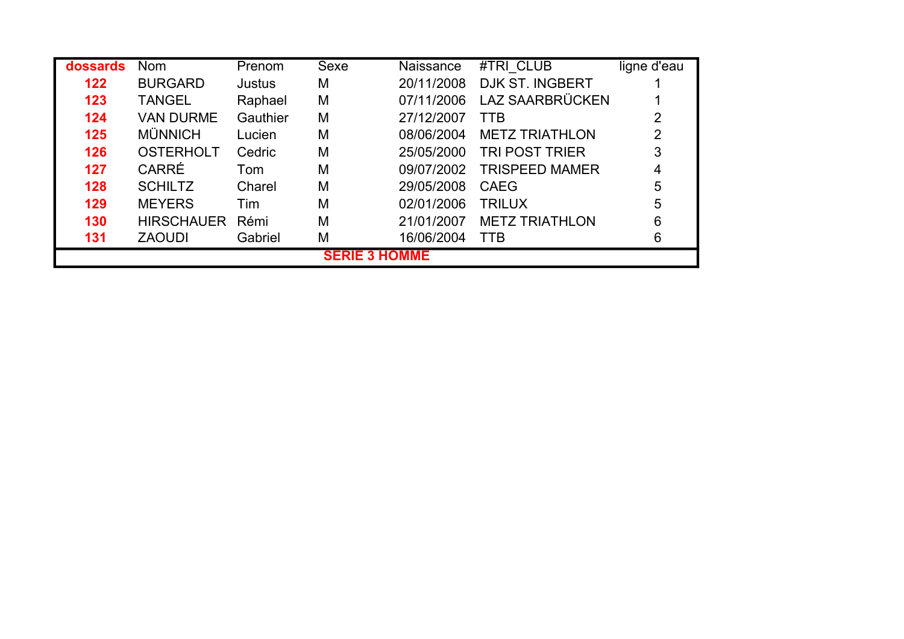| dossards | Nom               | Prenom   | Sexe                 | Naissance  | #TRI CLUB              | ligne d'eau |
|----------|-------------------|----------|----------------------|------------|------------------------|-------------|
| 122      | <b>BURGARD</b>    | Justus   | M                    | 20/11/2008 | <b>DJK ST. INGBERT</b> |             |
| 123      | <b>TANGEL</b>     | Raphael  | M                    | 07/11/2006 | LAZ SAARBRÜCKEN        |             |
| 124      | <b>VAN DURME</b>  | Gauthier | M                    | 27/12/2007 | <b>TTB</b>             |             |
| 125      | <b>MÜNNICH</b>    | Lucien   | M                    | 08/06/2004 | <b>METZ TRIATHLON</b>  | 2           |
| 126      | <b>OSTERHOLT</b>  | Cedric   | M                    | 25/05/2000 | <b>TRI POST TRIER</b>  | 3           |
| 127      | <b>CARRÉ</b>      | Tom      | M                    | 09/07/2002 | <b>TRISPEED MAMER</b>  | 4           |
| 128      | <b>SCHILTZ</b>    | Charel   | M                    | 29/05/2008 | CAEG                   | 5           |
| 129      | <b>MEYERS</b>     | Tim      | M                    | 02/01/2006 | <b>TRILUX</b>          | 5           |
| 130      | <b>HIRSCHAUER</b> | Rémi     | M                    | 21/01/2007 | <b>METZ TRIATHLON</b>  | 6           |
| 131      | <b>ZAOUDI</b>     | Gabriel  | M                    | 16/06/2004 | <b>TTB</b>             | 6           |
|          |                   |          | <b>SERIE 3 HOMME</b> |            |                        |             |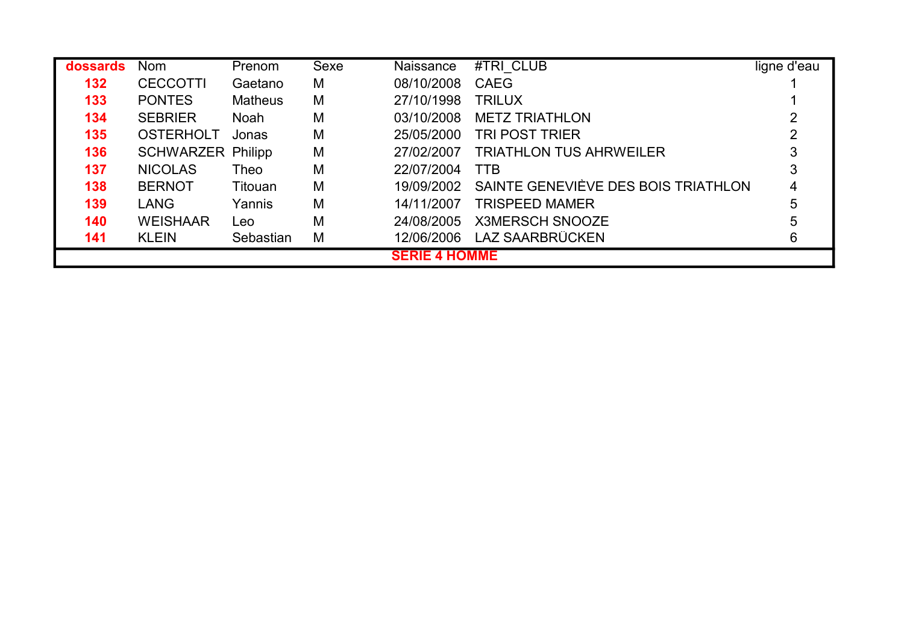| dossards | <b>Nom</b>               | Prenom         | Sexe | Naissance            | #TRI CLUB                           | ligne d'eau |
|----------|--------------------------|----------------|------|----------------------|-------------------------------------|-------------|
| 132      | <b>CECCOTTI</b>          | Gaetano        | M    | 08/10/2008           | <b>CAEG</b>                         |             |
| 133      | <b>PONTES</b>            | <b>Matheus</b> | M    | 27/10/1998           | <b>TRILUX</b>                       |             |
| 134      | <b>SEBRIER</b>           | <b>Noah</b>    | M    | 03/10/2008           | <b>METZ TRIATHLON</b>               |             |
| 135      | <b>OSTERHOLT</b>         | Jonas          | M    | 25/05/2000           | <b>TRI POST TRIER</b>               |             |
| 136      | <b>SCHWARZER Philipp</b> |                | M    | 27/02/2007           | <b>TRIATHLON TUS AHRWEILER</b>      |             |
| 137      | <b>NICOLAS</b>           | Theo           | M    | 22/07/2004           | <b>TTB</b>                          |             |
| 138      | <b>BERNOT</b>            | Titouan        | M    | 19/09/2002           | SAINTE GENEVIÈVE DES BOIS TRIATHLON | 4           |
| 139      | <b>LANG</b>              | Yannis         | M    | 14/11/2007           | <b>TRISPEED MAMER</b>               | 5           |
| 140      | <b>WEISHAAR</b>          | Leo            | M    | 24/08/2005           | <b>X3MERSCH SNOOZE</b>              | 5           |
| 141      | <b>KLEIN</b>             | Sebastian      | M    | 12/06/2006           | LAZ SAARBRÜCKEN                     | 6           |
|          |                          |                |      | <b>SERIE 4 HOMME</b> |                                     |             |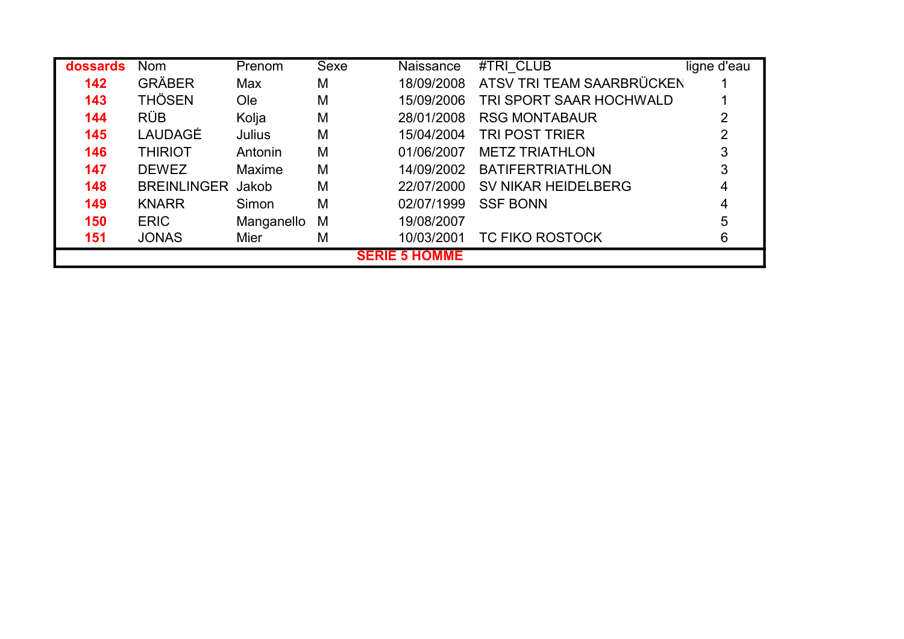| dossards | <b>Nom</b>               | Prenom     | Sexe | Naissance            | #TRI CLUB                  | ligne d'eau |
|----------|--------------------------|------------|------|----------------------|----------------------------|-------------|
| 142      | <b>GRÄBER</b>            | Max        | M    | 18/09/2008           | ATSV TRI TEAM SAARBRÜCKEN  |             |
| 143      | <b>THÖSEN</b>            | Ole        | M    | 15/09/2006           | TRI SPORT SAAR HOCHWALD    |             |
| 144      | <b>RÜB</b>               | Kolja      | M    | 28/01/2008           | <b>RSG MONTABAUR</b>       |             |
| 145      | LAUDAGÉ                  | Julius     | M    | 15/04/2004           | <b>TRI POST TRIER</b>      |             |
| 146      | <b>THIRIOT</b>           | Antonin    | M    | 01/06/2007           | <b>METZ TRIATHLON</b>      |             |
| 147      | <b>DEWEZ</b>             | Maxime     | M    | 14/09/2002           | <b>BATIFERTRIATHLON</b>    |             |
| 148      | <b>BREINLINGER Jakob</b> |            | M    | 22/07/2000           | <b>SV NIKAR HEIDELBERG</b> |             |
| 149      | <b>KNARR</b>             | Simon      | M    | 02/07/1999           | <b>SSF BONN</b>            | 4           |
| 150      | <b>ERIC</b>              | Manganello | M    | 19/08/2007           |                            | 5           |
| 151      | <b>JONAS</b>             | Mier       | M    | 10/03/2001           | <b>TC FIKO ROSTOCK</b>     | 6           |
|          |                          |            |      | <b>SERIE 5 HOMME</b> |                            |             |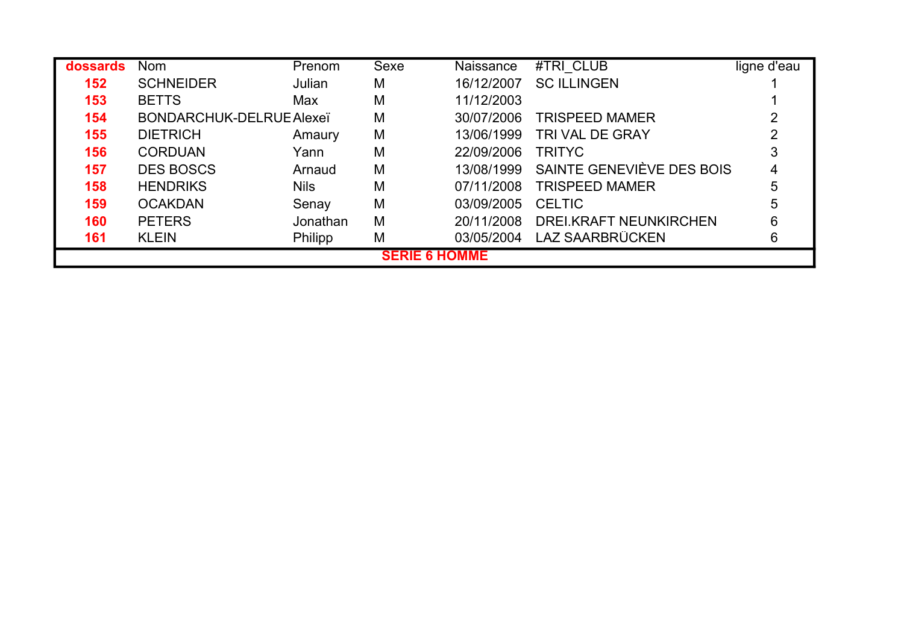| dossards | <b>Nom</b>               | Prenom      | Sexe                 | Naissance  | #TRI CLUB                 | ligne d'eau |
|----------|--------------------------|-------------|----------------------|------------|---------------------------|-------------|
| 152      | <b>SCHNEIDER</b>         | Julian      | M                    | 16/12/2007 | <b>SC ILLINGEN</b>        |             |
| 153      | <b>BETTS</b>             | Max         | M                    | 11/12/2003 |                           |             |
| 154      | BONDARCHUK-DELRUE Alexeï |             | M                    | 30/07/2006 | <b>TRISPEED MAMER</b>     |             |
| 155      | <b>DIETRICH</b>          | Amaury      | M                    | 13/06/1999 | <b>TRI VAL DE GRAY</b>    |             |
| 156      | <b>CORDUAN</b>           | Yann        | M                    | 22/09/2006 | <b>TRITYC</b>             |             |
| 157      | <b>DES BOSCS</b>         | Arnaud      | M                    | 13/08/1999 | SAINTE GENEVIÈVE DES BOIS |             |
| 158      | <b>HENDRIKS</b>          | <b>Nils</b> | M                    | 07/11/2008 | <b>TRISPEED MAMER</b>     |             |
| 159      | <b>OCAKDAN</b>           | Senay       | M                    | 03/09/2005 | <b>CELTIC</b>             |             |
| 160      | <b>PETERS</b>            | Jonathan    | M                    | 20/11/2008 | DREI.KRAFT NEUNKIRCHEN    |             |
| 161      | <b>KLEIN</b>             | Philipp     | M                    | 03/05/2004 | LAZ SAARBRÜCKEN           |             |
|          |                          |             | <b>SERIE 6 HOMME</b> |            |                           |             |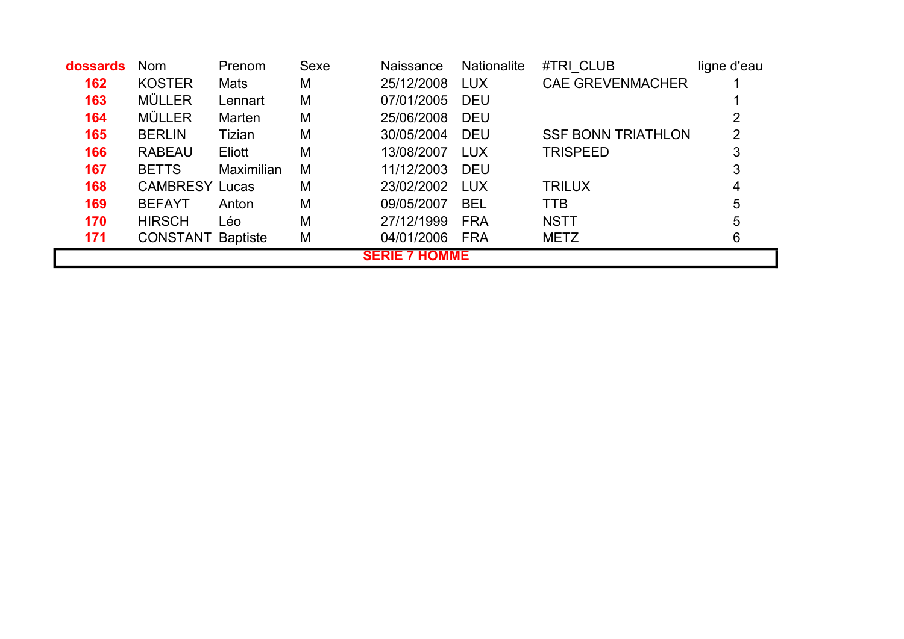| dossards | <b>Nom</b>            | Prenom            | Sexe | <b>Naissance</b>     | <b>Nationalite</b> | #TRI CLUB                 | ligne d'eau |
|----------|-----------------------|-------------------|------|----------------------|--------------------|---------------------------|-------------|
| 162      | <b>KOSTER</b>         | Mats              | M    | 25/12/2008           | <b>LUX</b>         | <b>CAE GREVENMACHER</b>   |             |
| 163      | <b>MÜLLER</b>         | Lennart           | M    | 07/01/2005           | <b>DEU</b>         |                           |             |
| 164      | <b>MÜLLER</b>         | Marten            | M    | 25/06/2008           | <b>DEU</b>         |                           |             |
| 165      | <b>BERLIN</b>         | Tizian            | M    | 30/05/2004           | <b>DEU</b>         | <b>SSF BONN TRIATHLON</b> | 2           |
| 166      | <b>RABEAU</b>         | Eliott            | M    | 13/08/2007           | <b>LUX</b>         | <b>TRISPEED</b>           | 3           |
| 167      | <b>BETTS</b>          | <b>Maximilian</b> | M    | 11/12/2003           | <b>DEU</b>         |                           | 3           |
| 168      | <b>CAMBRESY Lucas</b> |                   | M    | 23/02/2002           | LUX                | <b>TRILUX</b>             | 4           |
| 169      | <b>BEFAYT</b>         | Anton             | M    | 09/05/2007           | <b>BEL</b>         | <b>TTB</b>                | 5           |
| 170      | <b>HIRSCH</b>         | Léo               | M    | 27/12/1999           | <b>FRA</b>         | <b>NSTT</b>               | 5           |
| 171      | <b>CONSTANT</b>       | <b>Baptiste</b>   | M    | 04/01/2006           | <b>FRA</b>         | <b>METZ</b>               | 6           |
|          |                       |                   |      | <b>SERIE 7 HOMME</b> |                    |                           |             |

L